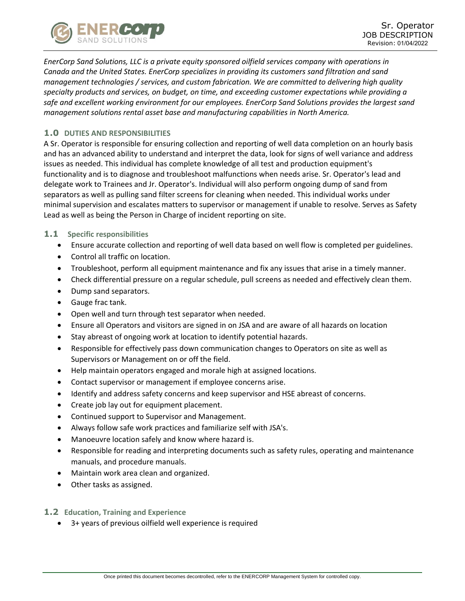

*EnerCorp Sand Solutions, LLC is a private equity sponsored oilfield services company with operations in Canada and the United States. EnerCorp specializes in providing its customers sand filtration and sand management technologies / services, and custom fabrication. We are committed to delivering high quality specialty products and services, on budget, on time, and exceeding customer expectations while providing a safe and excellent working environment for our employees. EnerCorp Sand Solutions provides the largest sand management solutions rental asset base and manufacturing capabilities in North America.*

# **1.0 DUTIES AND RESPONSIBILITIES**

A Sr. Operator is responsible for ensuring collection and reporting of well data completion on an hourly basis and has an advanced ability to understand and interpret the data, look for signs of well variance and address issues as needed. This individual has complete knowledge of all test and production equipment's functionality and is to diagnose and troubleshoot malfunctions when needs arise. Sr. Operator's lead and delegate work to Trainees and Jr. Operator's. Individual will also perform ongoing dump of sand from separators as well as pulling sand filter screens for cleaning when needed. This individual works under minimal supervision and escalates matters to supervisor or management if unable to resolve. Serves as Safety Lead as well as being the Person in Charge of incident reporting on site.

#### **1.1 Specific responsibilities**

- Ensure accurate collection and reporting of well data based on well flow is completed per guidelines.
- Control all traffic on location.
- Troubleshoot, perform all equipment maintenance and fix any issues that arise in a timely manner.
- Check differential pressure on a regular schedule, pull screens as needed and effectively clean them.
- Dump sand separators.
- Gauge frac tank.
- Open well and turn through test separator when needed.
- Ensure all Operators and visitors are signed in on JSA and are aware of all hazards on location
- Stay abreast of ongoing work at location to identify potential hazards.
- Responsible for effectively pass down communication changes to Operators on site as well as Supervisors or Management on or off the field.
- Help maintain operators engaged and morale high at assigned locations.
- Contact supervisor or management if employee concerns arise.
- Identify and address safety concerns and keep supervisor and HSE abreast of concerns.
- Create job lay out for equipment placement.
- Continued support to Supervisor and Management.
- Always follow safe work practices and familiarize self with JSA's.
- Manoeuvre location safely and know where hazard is.
- Responsible for reading and interpreting documents such as safety rules, operating and maintenance manuals, and procedure manuals.
- Maintain work area clean and organized.
- Other tasks as assigned.
- **1.2 Education, Training and Experience**
	- 3+ years of previous oilfield well experience is required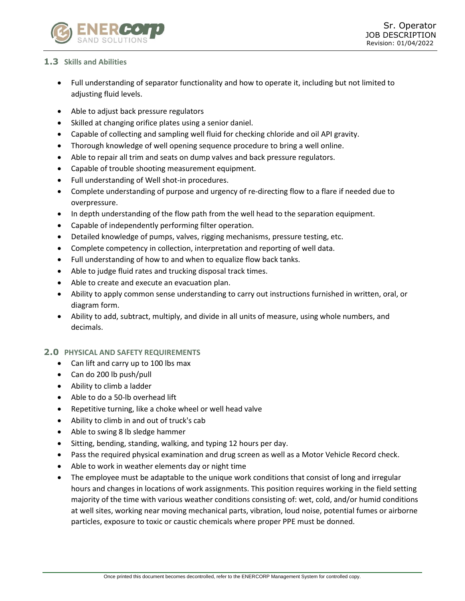

### **1.3 Skills and Abilities**

- Full understanding of separator functionality and how to operate it, including but not limited to adjusting fluid levels.
- Able to adjust back pressure regulators
- Skilled at changing orifice plates using a senior daniel.
- Capable of collecting and sampling well fluid for checking chloride and oil API gravity.
- Thorough knowledge of well opening sequence procedure to bring a well online.
- Able to repair all trim and seats on dump valves and back pressure regulators.
- Capable of trouble shooting measurement equipment.
- Full understanding of Well shot-in procedures.
- Complete understanding of purpose and urgency of re-directing flow to a flare if needed due to overpressure.
- In depth understanding of the flow path from the well head to the separation equipment.
- Capable of independently performing filter operation.
- Detailed knowledge of pumps, valves, rigging mechanisms, pressure testing, etc.
- Complete competency in collection, interpretation and reporting of well data.
- Full understanding of how to and when to equalize flow back tanks.
- Able to judge fluid rates and trucking disposal track times.
- Able to create and execute an evacuation plan.
- Ability to apply common sense understanding to carry out instructions furnished in written, oral, or diagram form.
- Ability to add, subtract, multiply, and divide in all units of measure, using whole numbers, and decimals.

#### **2.0 PHYSICAL AND SAFETY REQUIREMENTS**

- Can lift and carry up to 100 lbs max
- Can do 200 lb push/pull
- Ability to climb a ladder
- Able to do a 50-lb overhead lift
- Repetitive turning, like a choke wheel or well head valve
- Ability to climb in and out of truck's cab
- Able to swing 8 lb sledge hammer
- Sitting, bending, standing, walking, and typing 12 hours per day.
- Pass the required physical examination and drug screen as well as a Motor Vehicle Record check.
- Able to work in weather elements day or night time
- The employee must be adaptable to the unique work conditions that consist of long and irregular hours and changes in locations of work assignments. This position requires working in the field setting majority of the time with various weather conditions consisting of: wet, cold, and/or humid conditions at well sites, working near moving mechanical parts, vibration, loud noise, potential fumes or airborne particles, exposure to toxic or caustic chemicals where proper PPE must be donned.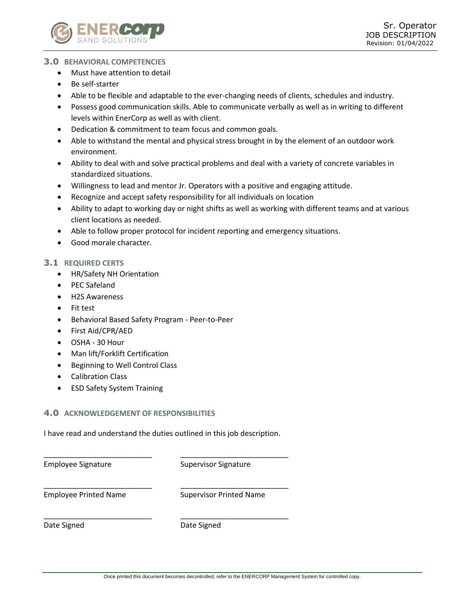

### **3.0 BEHAVIORAL COMPETENCIES**

- Must have attention to detail
- Be self-starter
- Able to be flexible and adaptable to the ever-changing needs of clients, schedules and industry.
- Possess good communication skills. Able to communicate verbally as well as in writing to different levels within EnerCorp as well as with client.
- Dedication & commitment to team focus and common goals.
- Able to withstand the mental and physical stress brought in by the element of an outdoor work environment.
- Ability to deal with and solve practical problems and deal with a variety of concrete variables in standardized situations.
- Willingness to lead and mentor Jr. Operators with a positive and engaging attitude.
- Recognize and accept safety responsibility for all individuals on location
- Ability to adapt to working day or night shifts as well as working with different teams and at various client locations as needed.
- Able to follow proper protocol for incident reporting and emergency situations.
- Good morale character.

#### **3.1 REQUIRED CERTS**

- HR/Safety NH Orientation
- PEC Safeland
- H2S Awareness
- Fit test
- Behavioral Based Safety Program Peer-to-Peer
- First Aid/CPR/AED
- OSHA 30 Hour
- Man lift/Forklift Certification
- Beginning to Well Control Class
- Calibration Class
- ESD Safety System Training

# **4.0 ACKNOWLEDGEMENT OF RESPONSIBILITIES**

I have read and understand the duties outlined in this job description.

| <b>Employee Signature</b>    | <b>Supervisor Signature</b>    |
|------------------------------|--------------------------------|
| <b>Employee Printed Name</b> | <b>Supervisor Printed Name</b> |
| Date Signed                  | Date Signed                    |